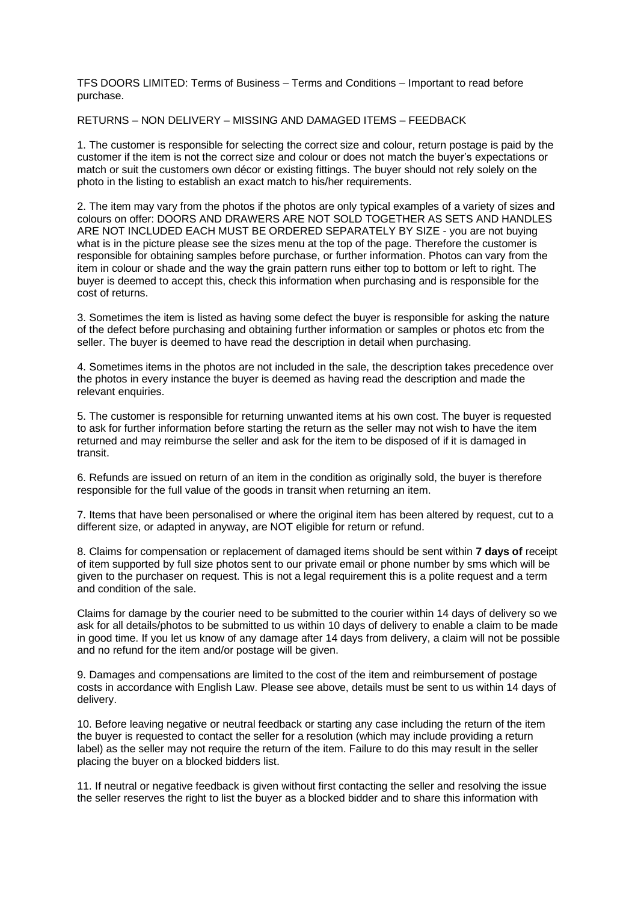TFS DOORS LIMITED: Terms of Business – Terms and Conditions – Important to read before purchase.

RETURNS – NON DELIVERY – MISSING AND DAMAGED ITEMS – FEEDBACK

1. The customer is responsible for selecting the correct size and colour, return postage is paid by the customer if the item is not the correct size and colour or does not match the buyer's expectations or match or suit the customers own décor or existing fittings. The buyer should not rely solely on the photo in the listing to establish an exact match to his/her requirements.

2. The item may vary from the photos if the photos are only typical examples of a variety of sizes and colours on offer: DOORS AND DRAWERS ARE NOT SOLD TOGETHER AS SETS AND HANDLES ARE NOT INCLUDED EACH MUST BE ORDERED SEPARATELY BY SIZE - you are not buying what is in the picture please see the sizes menu at the top of the page. Therefore the customer is responsible for obtaining samples before purchase, or further information. Photos can vary from the item in colour or shade and the way the grain pattern runs either top to bottom or left to right. The buyer is deemed to accept this, check this information when purchasing and is responsible for the cost of returns.

3. Sometimes the item is listed as having some defect the buyer is responsible for asking the nature of the defect before purchasing and obtaining further information or samples or photos etc from the seller. The buyer is deemed to have read the description in detail when purchasing.

4. Sometimes items in the photos are not included in the sale, the description takes precedence over the photos in every instance the buyer is deemed as having read the description and made the relevant enquiries.

5. The customer is responsible for returning unwanted items at his own cost. The buyer is requested to ask for further information before starting the return as the seller may not wish to have the item returned and may reimburse the seller and ask for the item to be disposed of if it is damaged in transit.

6. Refunds are issued on return of an item in the condition as originally sold, the buyer is therefore responsible for the full value of the goods in transit when returning an item.

7. Items that have been personalised or where the original item has been altered by request, cut to a different size, or adapted in anyway, are NOT eligible for return or refund.

8. Claims for compensation or replacement of damaged items should be sent within **7 days of** receipt of item supported by full size photos sent to our private email or phone number by sms which will be given to the purchaser on request. This is not a legal requirement this is a polite request and a term and condition of the sale.

Claims for damage by the courier need to be submitted to the courier within 14 days of delivery so we ask for all details/photos to be submitted to us within 10 days of delivery to enable a claim to be made in good time. If you let us know of any damage after 14 days from delivery, a claim will not be possible and no refund for the item and/or postage will be given.

9. Damages and compensations are limited to the cost of the item and reimbursement of postage costs in accordance with English Law. Please see above, details must be sent to us within 14 days of delivery.

10. Before leaving negative or neutral feedback or starting any case including the return of the item the buyer is requested to contact the seller for a resolution (which may include providing a return label) as the seller may not require the return of the item. Failure to do this may result in the seller placing the buyer on a blocked bidders list.

11. If neutral or negative feedback is given without first contacting the seller and resolving the issue the seller reserves the right to list the buyer as a blocked bidder and to share this information with